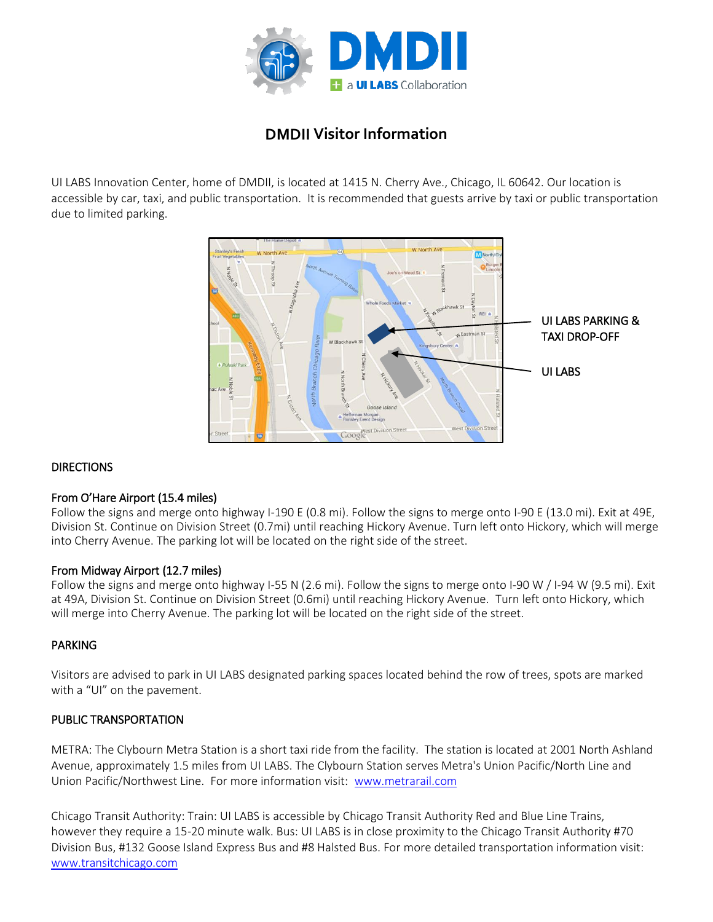

# **DMDII Visitor Information**

UI LABS Innovation Center, home of DMDII, is located at 1415 N. Cherry Ave., Chicago, IL 60642. Our location is accessible by car, taxi, and public transportation. It is recommended that guests arrive by taxi or public transportation due to limited parking.



## **DIRECTIONS**

## From O'Hare Airport (15.4 miles)

Follow the signs and merge onto highway I-190 E (0.8 mi). Follow the signs to merge onto I-90 E (13.0 mi). Exit at 49E, Division St. Continue on Division Street (0.7mi) until reaching Hickory Avenue. Turn left onto Hickory, which will merge into Cherry Avenue. The parking lot will be located on the right side of the street.

#### From Midway Airport (12.7 miles)

Follow the signs and merge onto highway I-55 N (2.6 mi). Follow the signs to merge onto I-90 W / I-94 W (9.5 mi). Exit at 49A, Division St. Continue on Division Street (0.6mi) until reaching Hickory Avenue. Turn left onto Hickory, which will merge into Cherry Avenue. The parking lot will be located on the right side of the street.

## PARKING

Visitors are advised to park in UI LABS designated parking spaces located behind the row of trees, spots are marked with a "UI" on the pavement.

#### PUBLIC TRANSPORTATION

METRA: The Clybourn Metra Station is a short taxi ride from the facility. The station is located at 2001 North Ashland Avenue, approximately 1.5 miles from UI LABS. The Clybourn Station serves Metra's Union Pacific/North Line and Union Pacific/Northwest Line. For more information visit: [www.metrarail.c](http://www.metrarail.com/)om

Chicago Transit Authority: Train: UI LABS is accessible by Chicago Transit Authority Red and Blue Line Trains, however they require a 15-20 minute walk. Bus: UI LABS is in close proximity to the Chicago Transit Authority #70 Division Bus, #132 Goose Island Express Bus and #8 Halsted Bus. For more detailed transportation information visit: [www.transitchicago.com](http://www.transitchicago.com/)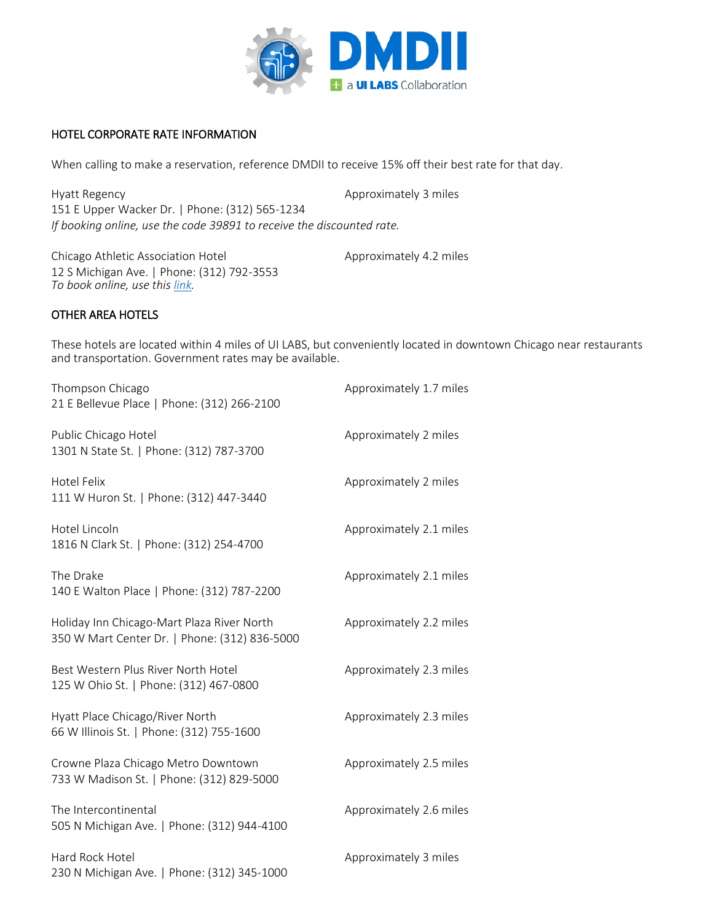

## HOTEL CORPORATE RATE INFORMATION

When calling to make a reservation, reference DMDII to receive 15% off their best rate for that day.

Hyatt Regency **Approximately 3 miles** Approximately 3 miles 151 E Upper Wacker Dr. | Phone: (312) 565-1234 *If booking online, use the code 39891 to receive the discounted rate.*

Chicago Athletic Association Hotel Approximately 4.2 miles 12 S Michigan Ave. | Phone: (312) 792-3553 *To book online, use this [link.](https://gc.synxis.com/rez.aspx?Hotel=63010&Chain=15564&promo=UILBS)*

#### OTHER AREA HOTELS

These hotels are located within 4 miles of UI LABS, but conveniently located in downtown Chicago near restaurants and transportation. Government rates may be available.

| Thompson Chicago<br>21 E Bellevue Place   Phone: (312) 266-2100                             | Approximately 1.7 miles |
|---------------------------------------------------------------------------------------------|-------------------------|
| Public Chicago Hotel<br>1301 N State St.   Phone: (312) 787-3700                            | Approximately 2 miles   |
| Hotel Felix<br>111 W Huron St.   Phone: (312) 447-3440                                      | Approximately 2 miles   |
| Hotel Lincoln<br>1816 N Clark St.   Phone: (312) 254-4700                                   | Approximately 2.1 miles |
| The Drake<br>140 E Walton Place   Phone: (312) 787-2200                                     | Approximately 2.1 miles |
| Holiday Inn Chicago-Mart Plaza River North<br>350 W Mart Center Dr.   Phone: (312) 836-5000 | Approximately 2.2 miles |
| Best Western Plus River North Hotel<br>125 W Ohio St.   Phone: (312) 467-0800               | Approximately 2.3 miles |
| Hyatt Place Chicago/River North<br>66 W Illinois St.   Phone: (312) 755-1600                | Approximately 2.3 miles |
| Crowne Plaza Chicago Metro Downtown<br>733 W Madison St.   Phone: (312) 829-5000            | Approximately 2.5 miles |
| The Intercontinental<br>505 N Michigan Ave.   Phone: (312) 944-4100                         | Approximately 2.6 miles |
| Hard Rock Hotel<br>230 N Michigan Ave.   Phone: (312) 345-1000                              | Approximately 3 miles   |